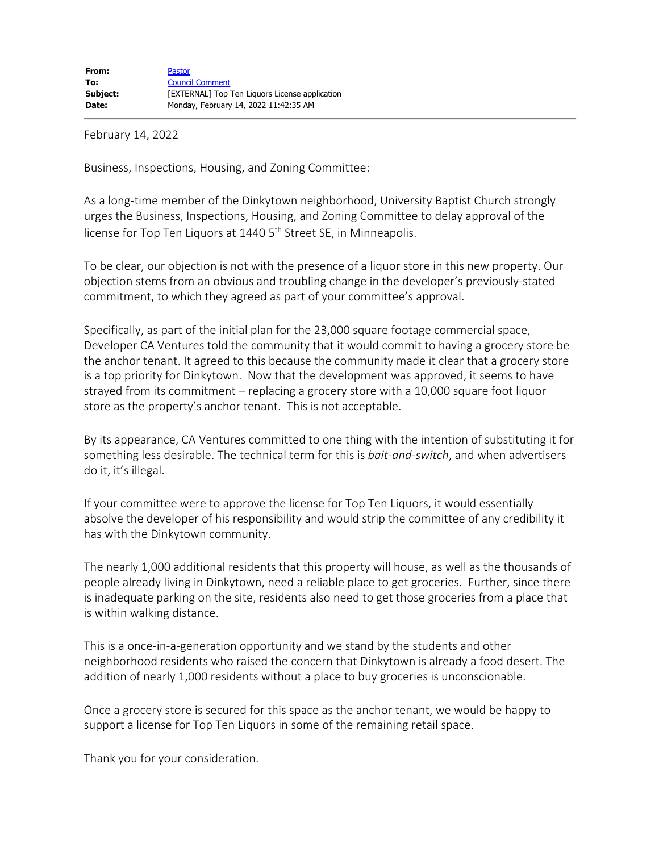February 14, 2022

Business, Inspections, Housing, and Zoning Committee:

As a long-time member of the Dinkytown neighborhood, University Baptist Church strongly urges the Business, Inspections, Housing, and Zoning Committee to delay approval of the license for Top Ten Liquors at 1440 5<sup>th</sup> Street SE, in Minneapolis.

To be clear, our objection is not with the presence of a liquor store in this new property. Our objection stems from an obvious and troubling change in the developer's previously-stated commitment, to which they agreed as part of your committee's approval.

Specifically, as part of the initial plan for the 23,000 square footage commercial space, Developer CA Ventures told the community that it would commit to having a grocery store be the anchor tenant. It agreed to this because the community made it clear that a grocery store is a top priority for Dinkytown. Now that the development was approved, it seems to have strayed from its commitment – replacing a grocery store with a 10,000 square foot liquor store as the property's anchor tenant. This is not acceptable.

By its appearance, CA Ventures committed to one thing with the intention of substituting it for something less desirable. The technical term for this is *bait-and-switch*, and when advertisers do it, it's illegal.

If your committee were to approve the license for Top Ten Liquors, it would essentially absolve the developer of his responsibility and would strip the committee of any credibility it has with the Dinkytown community.

The nearly 1,000 additional residents that this property will house, as well as the thousands of people already living in Dinkytown, need a reliable place to get groceries. Further, since there is inadequate parking on the site, residents also need to get those groceries from a place that is within walking distance.

This is a once-in-a-generation opportunity and we stand by the students and other neighborhood residents who raised the concern that Dinkytown is already a food desert. The addition of nearly 1,000 residents without a place to buy groceries is unconscionable.

Once a grocery store is secured for this space as the anchor tenant, we would be happy to support a license for Top Ten Liquors in some of the remaining retail space.

Thank you for your consideration.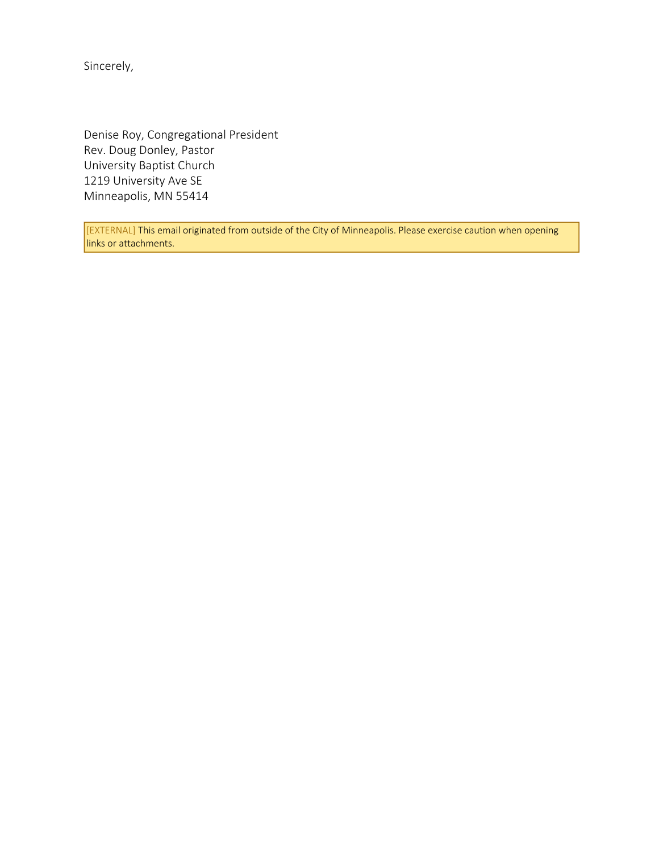Sincerely,

Denise Roy, Congregational President Rev. Doug Donley, Pastor University Baptist Church 1219 University Ave SE Minneapolis, MN 55414

[EXTERNAL] This email originated from outside of the City of Minneapolis. Please exercise caution when opening links or attachments.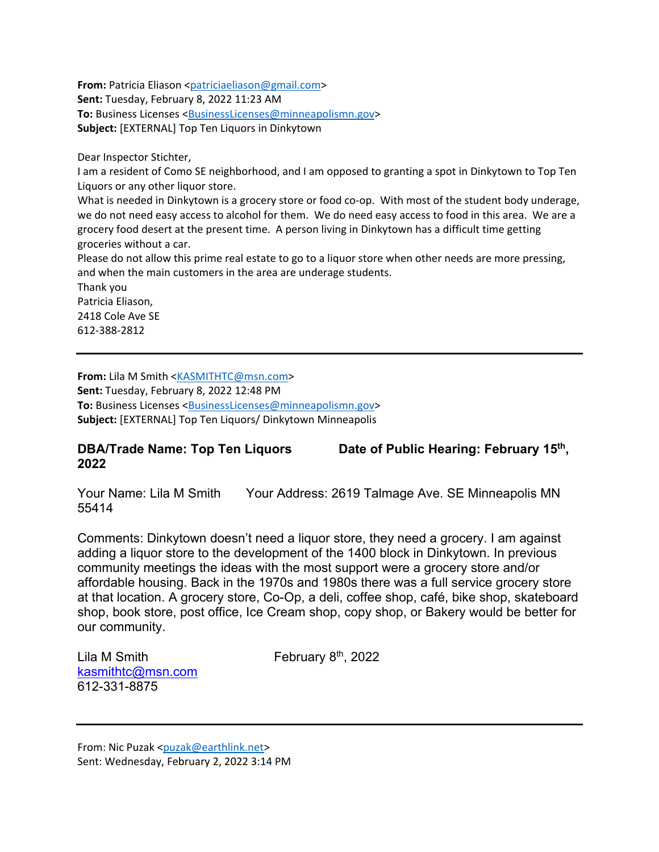**From:** Patricia Eliason [<patriciaeliason@gmail.com>](mailto:patriciaeliason@gmail.com)

**Sent:** Tuesday, February 8, 2022 11:23 AM

**To:** Business Licenses [<BusinessLicenses@minneapolismn.gov>](mailto:BusinessLicenses@minneapolismn.gov)

**Subject:** [EXTERNAL] Top Ten Liquors in Dinkytown

Dear Inspector Stichter,

I am a resident of Como SE neighborhood, and I am opposed to granting a spot in Dinkytown to Top Ten Liquors or any other liquor store.

What is needed in Dinkytown is a grocery store or food co-op. With most of the student body underage, we do not need easy access to alcohol for them. We do need easy access to food in this area. We are a grocery food desert at the present time. A person living in Dinkytown has a difficult time getting groceries without a car.

Please do not allow this prime real estate to go to a liquor store when other needs are more pressing, and when the main customers in the area are underage students.

Thank you Patricia Eliason, 2418 Cole Ave SE 612-388-2812

**From:** Lila M Smith [<KASMITHTC@msn.com>](mailto:KASMITHTC@msn.com) **Sent:** Tuesday, February 8, 2022 12:48 PM **To:** Business Licenses [<BusinessLicenses@minneapolismn.gov>](mailto:BusinessLicenses@minneapolismn.gov) **Subject:** [EXTERNAL] Top Ten Liquors/ Dinkytown Minneapolis

## **DBA/Trade Name: Top Ten Liquors Date of Public Hearing: February 15<sup>th</sup>, 2022**

Your Name: Lila M Smith Your Address: 2619 Talmage Ave. SE Minneapolis MN 55414

Comments: Dinkytown doesn't need a liquor store, they need a grocery. I am against adding a liquor store to the development of the 1400 block in Dinkytown. In previous community meetings the ideas with the most support were a grocery store and/or affordable housing. Back in the 1970s and 1980s there was a full service grocery store at that location. A grocery store, Co-Op, a deli, coffee shop, café, bike shop, skateboard shop, book store, post office, Ice Cream shop, copy shop, or Bakery would be better for our community.

Lila M Smith  $\qquad \qquad$  February 8<sup>th</sup>, 2022 [kasmithtc@msn.com](mailto:kasmithtc@msn.com) 612-331-8875

From: Nic Puzak [<puzak@earthlink.net>](mailto:puzak@earthlink.net) Sent: Wednesday, February 2, 2022 3:14 PM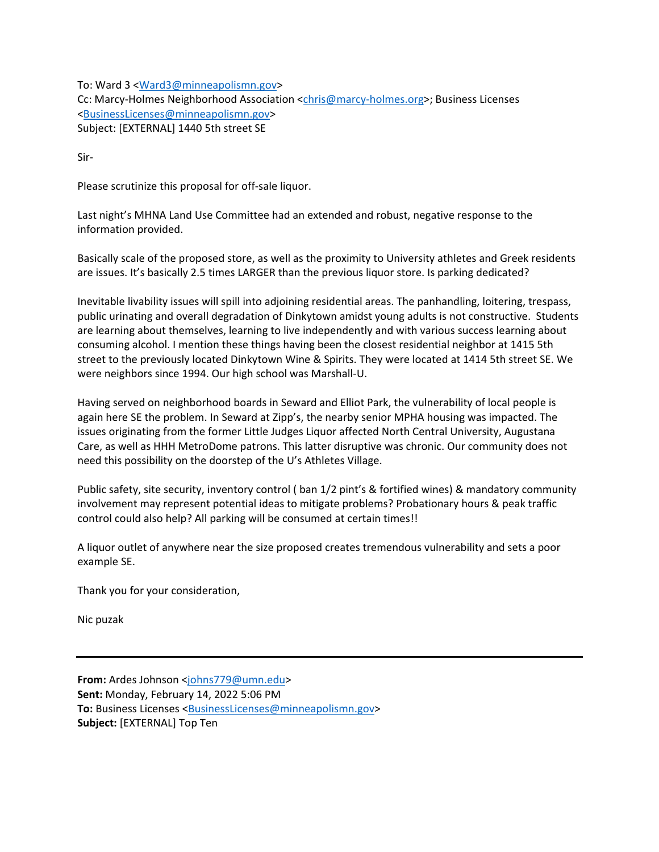To: Ward 3 [<Ward3@minneapolismn.gov>](mailto:Ward3@minneapolismn.gov) Cc: Marcy-Holmes Neighborhood Association [<chris@marcy-holmes.org>](mailto:chris@marcy-holmes.org); Business Licenses [<BusinessLicenses@minneapolismn.gov>](mailto:BusinessLicenses@minneapolismn.gov) Subject: [EXTERNAL] 1440 5th street SE

Sir-

Please scrutinize this proposal for off-sale liquor.

Last night's MHNA Land Use Committee had an extended and robust, negative response to the information provided.

Basically scale of the proposed store, as well as the proximity to University athletes and Greek residents are issues. It's basically 2.5 times LARGER than the previous liquor store. Is parking dedicated?

Inevitable livability issues will spill into adjoining residential areas. The panhandling, loitering, trespass, public urinating and overall degradation of Dinkytown amidst young adults is not constructive. Students are learning about themselves, learning to live independently and with various success learning about consuming alcohol. I mention these things having been the closest residential neighbor at 1415 5th street to the previously located Dinkytown Wine & Spirits. They were located at 1414 5th street SE. We were neighbors since 1994. Our high school was Marshall-U.

Having served on neighborhood boards in Seward and Elliot Park, the vulnerability of local people is again here SE the problem. In Seward at Zipp's, the nearby senior MPHA housing was impacted. The issues originating from the former Little Judges Liquor affected North Central University, Augustana Care, as well as HHH MetroDome patrons. This latter disruptive was chronic. Our community does not need this possibility on the doorstep of the U's Athletes Village.

Public safety, site security, inventory control ( ban 1/2 pint's & fortified wines) & mandatory community involvement may represent potential ideas to mitigate problems? Probationary hours & peak traffic control could also help? All parking will be consumed at certain times!!

A liquor outlet of anywhere near the size proposed creates tremendous vulnerability and sets a poor example SE.

Thank you for your consideration,

Nic puzak

**From:** Ardes Johnson [<johns779@umn.edu>](mailto:johns779@umn.edu) **Sent:** Monday, February 14, 2022 5:06 PM **To:** Business Licenses [<BusinessLicenses@minneapolismn.gov>](mailto:BusinessLicenses@minneapolismn.gov) **Subject:** [EXTERNAL] Top Ten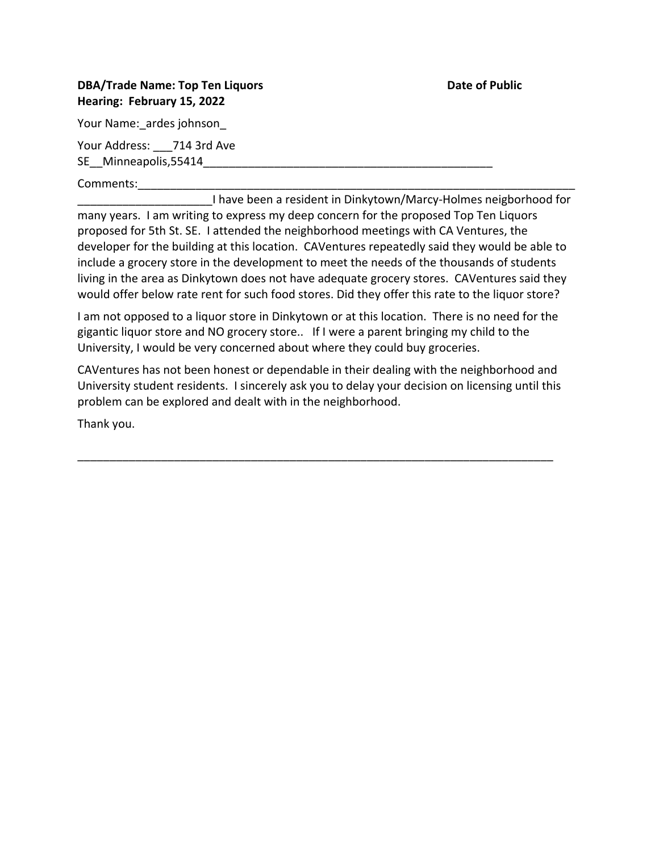## **DBA/Trade Name: Top Ten Liquors Community Community Community Community Community Community Community Community Hearing: February 15, 2022**

Your Name: ardes johnson

Your Address: 714 3rd Ave SE\_\_Minneapolis,55414\_\_\_\_\_\_\_\_\_\_\_\_\_\_\_\_\_\_\_\_\_\_\_\_\_\_\_\_\_\_\_\_\_\_\_\_\_\_\_\_\_\_\_\_\_

Comments:

I have been a resident in Dinkytown/Marcy-Holmes neigborhood for many years. I am writing to express my deep concern for the proposed Top Ten Liquors proposed for 5th St. SE. I attended the neighborhood meetings with CA Ventures, the developer for the building at this location. CAVentures repeatedly said they would be able to include a grocery store in the development to meet the needs of the thousands of students living in the area as Dinkytown does not have adequate grocery stores. CAVentures said they would offer below rate rent for such food stores. Did they offer this rate to the liquor store?

I am not opposed to a liquor store in Dinkytown or at this location. There is no need for the gigantic liquor store and NO grocery store.. If I were a parent bringing my child to the University, I would be very concerned about where they could buy groceries.

CAVentures has not been honest or dependable in their dealing with the neighborhood and University student residents. I sincerely ask you to delay your decision on licensing until this problem can be explored and dealt with in the neighborhood.

\_\_\_\_\_\_\_\_\_\_\_\_\_\_\_\_\_\_\_\_\_\_\_\_\_\_\_\_\_\_\_\_\_\_\_\_\_\_\_\_\_\_\_\_\_\_\_\_\_\_\_\_\_\_\_\_\_\_\_\_\_\_\_\_\_\_\_\_\_\_\_\_\_\_

Thank you.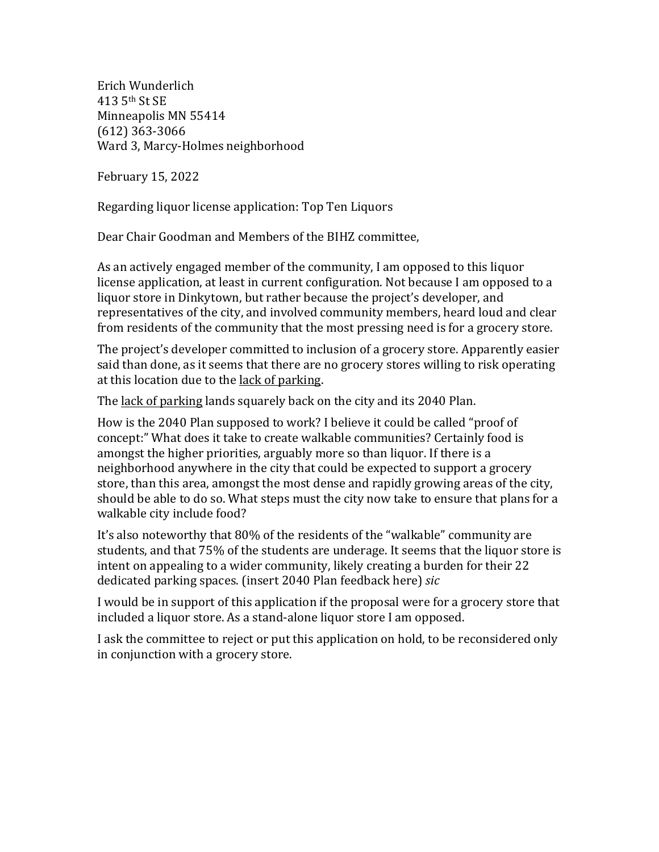Erich Wunderlich 413 5th St SE Minneapolis MN 55414 (612) 363-3066 Ward 3, Marcy-Holmes neighborhood

February 15, 2022

Regarding liquor license application: Top Ten Liquors

Dear Chair Goodman and Members of the BIHZ committee,

As an actively engaged member of the community. I am opposed to this liquor license application, at least in current configuration. Not because I am opposed to a liquor store in Dinkytown, but rather because the project's developer, and representatives of the city, and involved community members, heard loud and clear from residents of the community that the most pressing need is for a grocery store.

The project's developer committed to inclusion of a grocery store. Apparently easier said than done, as it seems that there are no grocery stores willing to risk operating at this location due to the lack of parking.

The lack of parking lands squarely back on the city and its 2040 Plan.

How is the 2040 Plan supposed to work? I believe it could be called "proof of concept:" What does it take to create walkable communities? Certainly food is amongst the higher priorities, arguably more so than liquor. If there is a neighborhood anywhere in the city that could be expected to support a grocery store, than this area, amongst the most dense and rapidly growing areas of the city, should be able to do so. What steps must the city now take to ensure that plans for a walkable city include food?

It's also noteworthy that 80% of the residents of the "walkable" community are students, and that 75% of the students are underage. It seems that the liquor store is intent on appealing to a wider community, likely creating a burden for their 22 dedicated parking spaces. (insert 2040 Plan feedback here) *sic* 

I would be in support of this application if the proposal were for a grocery store that included a liquor store. As a stand-alone liquor store I am opposed.

I ask the committee to reject or put this application on hold, to be reconsidered only in conjunction with a grocery store.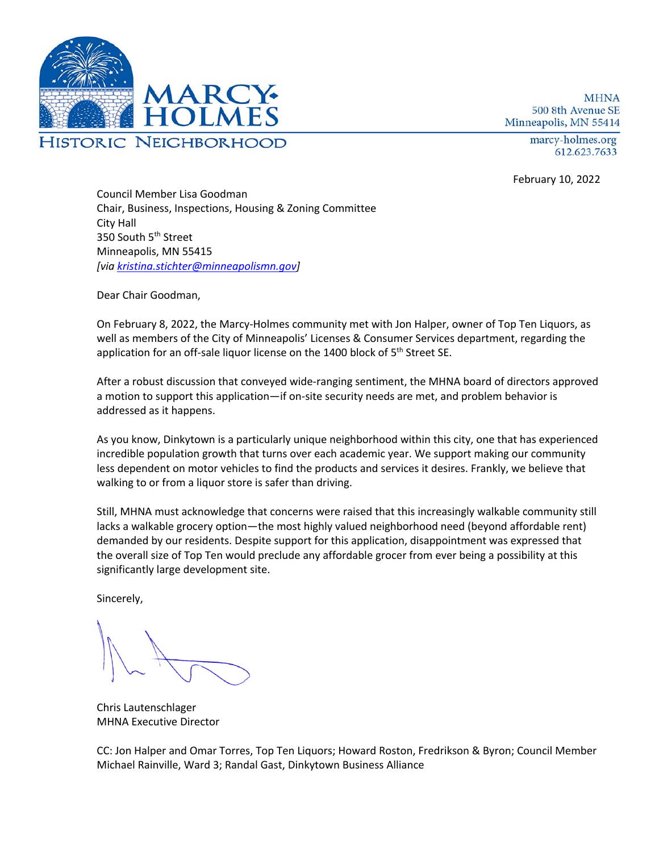

**MHNA** 500 8th Avenue SE Minneapolis, MN 55414

> marcy-holmes.org 612.623.7633

February 10, 2022

Council Member Lisa Goodman Chair, Business, Inspections, Housing & Zoning Committee City Hall 350 South 5<sup>th</sup> Street Minneapolis, MN 55415 *[via kristina.stichter@minneapolismn.gov]*

Dear Chair Goodman,

On February 8, 2022, the Marcy-Holmes community met with Jon Halper, owner of Top Ten Liquors, as well as members of the City of Minneapolis' Licenses & Consumer Services department, regarding the application for an off-sale liquor license on the 1400 block of 5<sup>th</sup> Street SE.

After a robust discussion that conveyed wide-ranging sentiment, the MHNA board of directors approved a motion to support this application—if on-site security needs are met, and problem behavior is addressed as it happens.

As you know, Dinkytown is a particularly unique neighborhood within this city, one that has experienced incredible population growth that turns over each academic year. We support making our community less dependent on motor vehicles to find the products and services it desires. Frankly, we believe that walking to or from a liquor store is safer than driving.

Still, MHNA must acknowledge that concerns were raised that this increasingly walkable community still lacks a walkable grocery option—the most highly valued neighborhood need (beyond affordable rent) demanded by our residents. Despite support for this application, disappointment was expressed that the overall size of Top Ten would preclude any affordable grocer from ever being a possibility at this significantly large development site.

Sincerely,

Chris Lautenschlager MHNA Executive Director

CC: Jon Halper and Omar Torres, Top Ten Liquors; Howard Roston, Fredrikson & Byron; Council Member Michael Rainville, Ward 3; Randal Gast, Dinkytown Business Alliance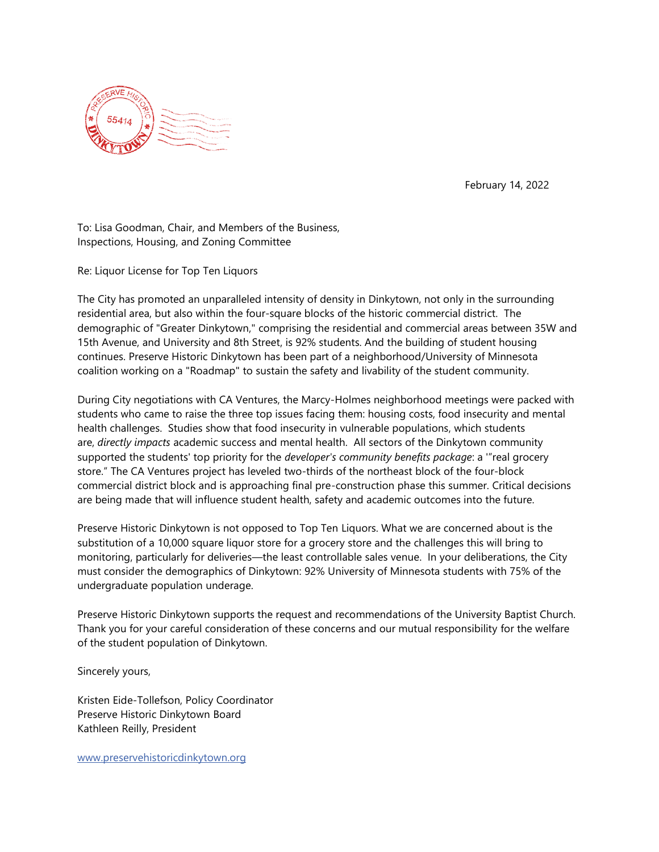

February 14, 2022

To: Lisa Goodman, Chair, and Members of the Business, Inspections, Housing, and Zoning Committee

Re: Liquor License for Top Ten Liquors

The City has promoted an unparalleled intensity of density in Dinkytown, not only in the surrounding residential area, but also within the four-square blocks of the historic commercial district. The demographic of "Greater Dinkytown," comprising the residential and commercial areas between 35W and 15th Avenue, and University and 8th Street, is 92% students. And the building of student housing continues. Preserve Historic Dinkytown has been part of a neighborhood/University of Minnesota coalition working on a "Roadmap" to sustain the safety and livability of the student community.

During City negotiations with CA Ventures, the Marcy-Holmes neighborhood meetings were packed with students who came to raise the three top issues facing them: housing costs, food insecurity and mental health challenges. Studies show that food insecurity in vulnerable populations, which students are, *directly impacts* academic success and mental health. All sectors of the Dinkytown community supported the students' top priority for the *developer's community benefits package*: a '"real grocery store." The CA Ventures project has leveled two-thirds of the northeast block of the four-block commercial district block and is approaching final pre-construction phase this summer. Critical decisions are being made that will influence student health, safety and academic outcomes into the future.

Preserve Historic Dinkytown is not opposed to Top Ten Liquors. What we are concerned about is the substitution of a 10,000 square liquor store for a grocery store and the challenges this will bring to monitoring, particularly for deliveries—the least controllable sales venue. In your deliberations, the City must consider the demographics of Dinkytown: 92% University of Minnesota students with 75% of the undergraduate population underage.

Preserve Historic Dinkytown supports the request and recommendations of the University Baptist Church. Thank you for your careful consideration of these concerns and our mutual responsibility for the welfare of the student population of Dinkytown.

Sincerely yours,

Kristen Eide-Tollefson, Policy Coordinator Preserve Historic Dinkytown Board Kathleen Reilly, President

[www.preservehistoricdinkytown.org](http://www.preservehistoricdinkytown.org/)